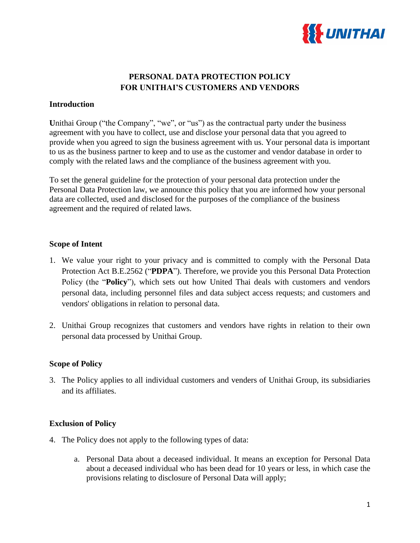

# **PERSONAL DATA PROTECTION POLICY FOR UNITHAI'S CUSTOMERS AND VENDORS**

#### **Introduction**

Unithai Group ("the Company", "we", or "us") as the contractual party under the business agreement with you have to collect, use and disclose your personal data that you agreed to provide when you agreed to sign the business agreement with us. Your personal data is important to us as the business partner to keep and to use as the customer and vendor database in order to comply with the related laws and the compliance of the business agreement with you.

To set the general guideline for the protection of your personal data protection under the Personal Data Protection law, we announce this policy that you are informed how your personal data are collected, used and disclosed for the purposes of the compliance of the business agreement and the required of related laws.

#### **Scope of Intent**

- 1. We value your right to your privacy and is committed to comply with the Personal Data Protection Act B.E.2562 ("**PDPA**"). Therefore, we provide you this Personal Data Protection Policy (the "**Policy**"), which sets out how United Thai deals with customers and vendors personal data, including personnel files and data subject access requests; and customers and vendors' obligations in relation to personal data.
- 2. Unithai Group recognizes that customers and vendors have rights in relation to their own personal data processed by Unithai Group.

#### **Scope of Policy**

3. The Policy applies to all individual customers and venders of Unithai Group, its subsidiaries and its affiliates.

#### **Exclusion of Policy**

- 4. The Policy does not apply to the following types of data:
	- a. Personal Data about a deceased individual. It means an exception for Personal Data about a deceased individual who has been dead for 10 years or less, in which case the provisions relating to disclosure of Personal Data will apply;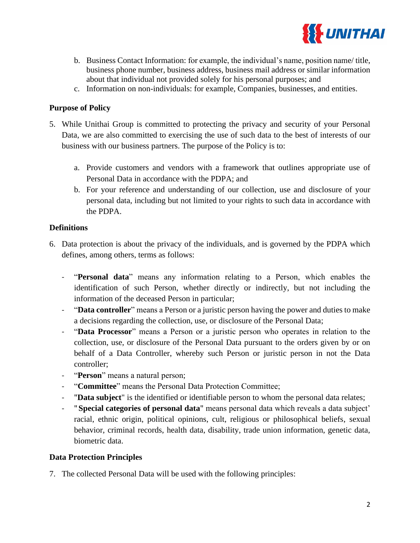

- b. Business Contact Information: for example, the individual's name, position name/ title, business phone number, business address, business mail address or similar information about that individual not provided solely for his personal purposes; and
- c. Information on non-individuals: for example, Companies, businesses, and entities.

## **Purpose of Policy**

- 5. While Unithai Group is committed to protecting the privacy and security of your Personal Data, we are also committed to exercising the use of such data to the best of interests of our business with our business partners. The purpose of the Policy is to:
	- a. Provide customers and vendors with a framework that outlines appropriate use of Personal Data in accordance with the PDPA; and
	- b. For your reference and understanding of our collection, use and disclosure of your personal data, including but not limited to your rights to such data in accordance with the PDPA.

## **Definitions**

- 6. Data protection is about the privacy of the individuals, and is governed by the PDPA which defines, among others, terms as follows:
	- "**Personal data**" means any information relating to a Person, which enables the identification of such Person, whether directly or indirectly, but not including the information of the deceased Person in particular;
	- "**Data controller**" means a Person or a juristic person having the power and duties to make a decisions regarding the collection, use, or disclosure of the Personal Data;
	- "**Data Processor**" means a Person or a juristic person who operates in relation to the collection, use, or disclosure of the Personal Data pursuant to the orders given by or on behalf of a Data Controller, whereby such Person or juristic person in not the Data controller;
	- "**Person**" means a natural person;
	- "**Committee**" means the Personal Data Protection Committee;
	- "**Data subject**" is the identified or identifiable person to whom the personal data relates;
	- "Special categories of personal data" means personal data which reveals a data subject' racial, ethnic origin, political opinions, cult, religious or philosophical beliefs, sexual behavior, criminal records, health data, disability, trade union information, genetic data, biometric data.

## **Data Protection Principles**

7. The collected Personal Data will be used with the following principles: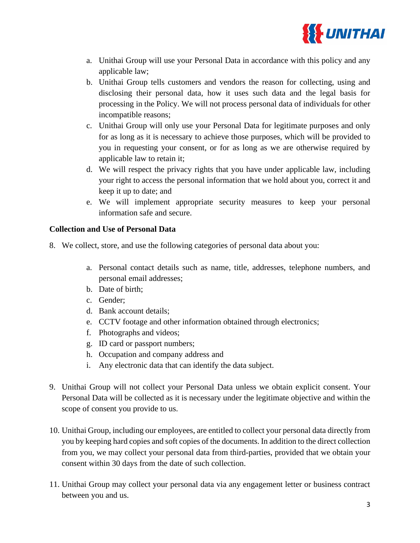

- a. Unithai Group will use your Personal Data in accordance with this policy and any applicable law;
- b. Unithai Group tells customers and vendors the reason for collecting, using and disclosing their personal data, how it uses such data and the legal basis for processing in the Policy. We will not process personal data of individuals for other incompatible reasons;
- c. Unithai Group will only use your Personal Data for legitimate purposes and only for as long as it is necessary to achieve those purposes, which will be provided to you in requesting your consent, or for as long as we are otherwise required by applicable law to retain it;
- d. We will respect the privacy rights that you have under applicable law, including your right to access the personal information that we hold about you, correct it and keep it up to date; and
- e. We will implement appropriate security measures to keep your personal information safe and secure.

## **Collection and Use of Personal Data**

- 8. We collect, store, and use the following categories of personal data about you:
	- a. Personal contact details such as name, title, addresses, telephone numbers, and personal email addresses;
	- b. Date of birth;
	- c. Gender;
	- d. Bank account details;
	- e. CCTV footage and other information obtained through electronics;
	- f. Photographs and videos;
	- g. ID card or passport numbers;
	- h. Occupation and company address and
	- i. Any electronic data that can identify the data subject.
- 9. Unithai Group will not collect your Personal Data unless we obtain explicit consent. Your Personal Data will be collected as it is necessary under the legitimate objective and within the scope of consent you provide to us.
- 10. Unithai Group, including our employees, are entitled to collect your personal data directly from you by keeping hard copies and soft copies of the documents. In addition to the direct collection from you, we may collect your personal data from third-parties, provided that we obtain your consent within 30 days from the date of such collection.
- 11. Unithai Group may collect your personal data via any engagement letter or business contract between you and us.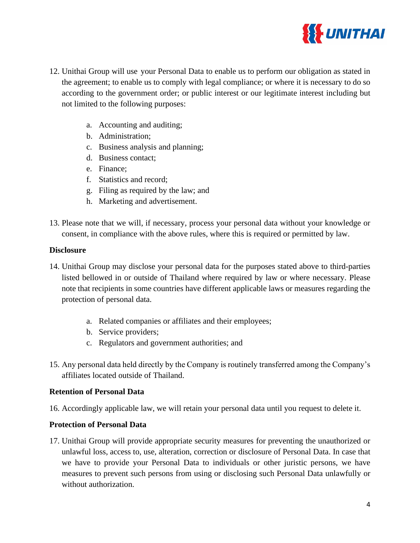

- 12. Unithai Group will use your Personal Data to enable us to perform our obligation as stated in the agreement; to enable us to comply with legal compliance; or where it is necessary to do so according to the government order; or public interest or our legitimate interest including but not limited to the following purposes:
	- a. Accounting and auditing;
	- b. Administration;
	- c. Business analysis and planning;
	- d. Business contact;
	- e. Finance;
	- f. Statistics and record;
	- g. Filing as required by the law; and
	- h. Marketing and advertisement.
- 13. Please note that we will, if necessary, process your personal data without your knowledge or consent, in compliance with the above rules, where this is required or permitted by law.

#### **Disclosure**

- 14. Unithai Group may disclose your personal data for the purposes stated above to third-parties listed bellowed in or outside of Thailand where required by law or where necessary. Please note that recipients in some countries have different applicable laws or measures regarding the protection of personal data.
	- a. Related companies or affiliates and their employees;
	- b. Service providers;
	- c. Regulators and government authorities; and
- 15. Any personal data held directly by the Company is routinely transferred among the Company's affiliates located outside of Thailand.

#### **Retention of Personal Data**

16. Accordingly applicable law, we will retain your personal data until you request to delete it.

### **Protection of Personal Data**

17. Unithai Group will provide appropriate security measures for preventing the unauthorized or unlawful loss, access to, use, alteration, correction or disclosure of Personal Data. In case that we have to provide your Personal Data to individuals or other juristic persons, we have measures to prevent such persons from using or disclosing such Personal Data unlawfully or without authorization.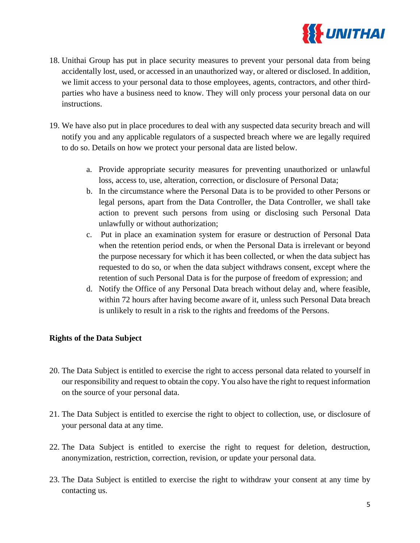

- 18. Unithai Group has put in place security measures to prevent your personal data from being accidentally lost, used, or accessed in an unauthorized way, or altered or disclosed. In addition, we limit access to your personal data to those employees, agents, contractors, and other thirdparties who have a business need to know. They will only process your personal data on our instructions.
- 19. We have also put in place procedures to deal with any suspected data security breach and will notify you and any applicable regulators of a suspected breach where we are legally required to do so. Details on how we protect your personal data are listed below.
	- a. Provide appropriate security measures for preventing unauthorized or unlawful loss, access to, use, alteration, correction, or disclosure of Personal Data;
	- b. In the circumstance where the Personal Data is to be provided to other Persons or legal persons, apart from the Data Controller, the Data Controller, we shall take action to prevent such persons from using or disclosing such Personal Data unlawfully or without authorization;
	- c. Put in place an examination system for erasure or destruction of Personal Data when the retention period ends, or when the Personal Data is irrelevant or beyond the purpose necessary for which it has been collected, or when the data subject has requested to do so, or when the data subject withdraws consent, except where the retention of such Personal Data is for the purpose of freedom of expression; and
	- d. Notify the Office of any Personal Data breach without delay and, where feasible, within 72 hours after having become aware of it, unless such Personal Data breach is unlikely to result in a risk to the rights and freedoms of the Persons.

## **Rights of the Data Subject**

- 20. The Data Subject is entitled to exercise the right to access personal data related to yourself in our responsibility and request to obtain the copy. You also have the right to request information on the source of your personal data.
- 21. The Data Subject is entitled to exercise the right to object to collection, use, or disclosure of your personal data at any time.
- 22. The Data Subject is entitled to exercise the right to request for deletion, destruction, anonymization, restriction, correction, revision, or update your personal data.
- 23. The Data Subject is entitled to exercise the right to withdraw your consent at any time by contacting us.